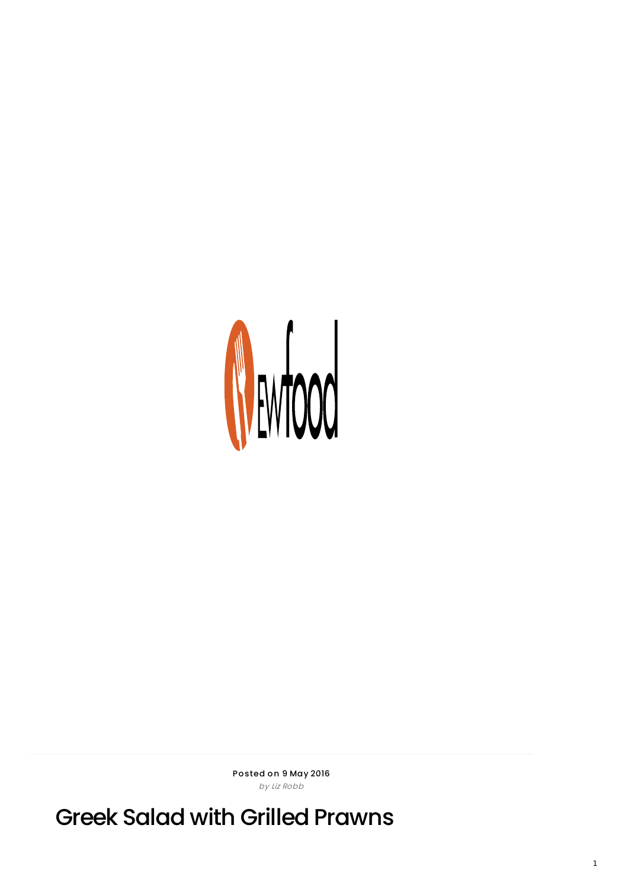

Posted on 9 May 2016 by Liz Robb

Greek Salad with Grilled Prawns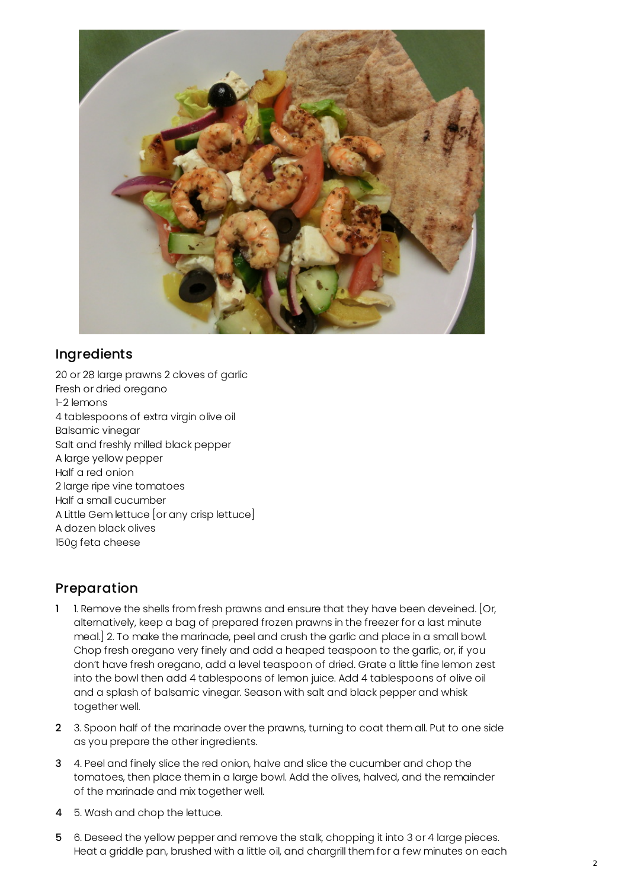

## **Ingredients**

20 or 28 large prawns 2 cloves of garlic Fresh or dried oregano 1-2 lemons 4 tablespoons of extra virgin olive oil Balsamic vinegar Salt and freshly milled black pepper A large yellow pepper Half a red onion 2 large ripe vine tomatoes Half a small cucumber A Little Gem lettuce [or any crisp lettuce] A dozen black olives 150g feta cheese

## Preparation

- 1 1. Remove the shells from fresh prawns and ensure that they have been deveined. [Or, alternatively, keep a bag of prepared frozen prawns in the freezer for a last minute meal.] 2. To make the marinade, peel and crush the garlic and place in a small bowl. Chop fresh oregano very finely and add a heaped teaspoon to the garlic, or, if you don't have fresh oregano, add a level teaspoon of dried. Grate a little fine lemon zest into the bowl then add 4 tablespoons of lemon juice. Add 4 tablespoons of olive oil and a splash of balsamic vinegar. Season with salt and black pepper and whisk together well.
- 2 3. Spoon half of the marinade over the prawns, turning to coat them all. Put to one side as you prepare the other ingredients.
- 3 4. Peel and finely slice the red onion, halve and slice the cucumber and chop the tomatoes, then place them in a large bowl. Add the olives, halved, and the remainder of the marinade and mix together well.
- 4 5. Wash and chop the lettuce.
- 5 6. Deseed the yellow pepper and remove the stalk, chopping it into 3 or 4 large pieces. Heat a griddle pan, brushed with a little oil, and chargrill them for a few minutes on each